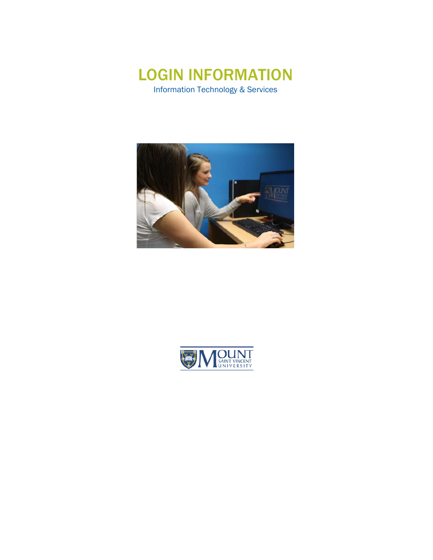

**JOUNT** 

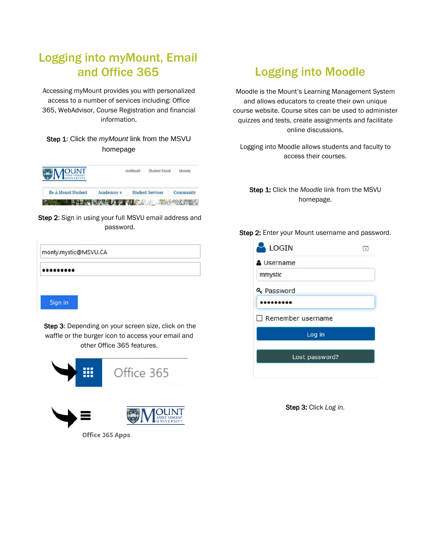# Logging into myMount, Email and Office 365

Accessing myMount provides you with personalized access to a number of services including: Office 365, WebAdvisor, Course Registration and financial information.

#### Step 1: Click the *myMount* link from the MSVU homepage



Step 2: Sign in using your full MSVU email address and password.

| monty.mystic@MSVU.CA |  |
|----------------------|--|
|                      |  |
| Sign in              |  |

Step 3: Depending on your screen size, click on the waffle or the burger icon to access your email and other Office 365 features.



Office 365 Apps

# Logging into Moodle

Moodle is the Mount's Learning Management System and allows educators to create their own unique course website. Course sites can be used to administer quizzes and tests, create assignments and facilitate online discussions.

Logging into Moodle allows students and faculty to access their courses.

Step 1: Click the *Moodle* link from the MSVU homepage.

#### Step 2: Enter your Mount username and password.



Step 3: Click *Log in.*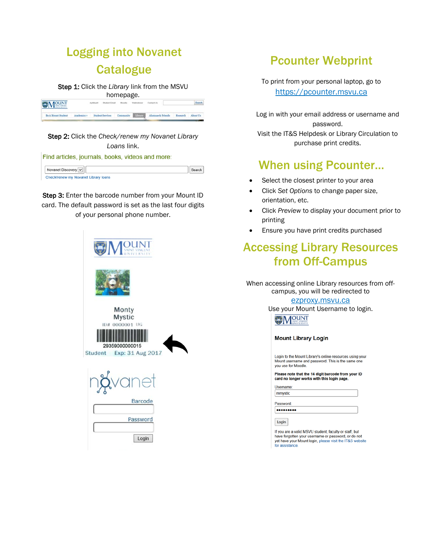# Logging into Novanet **Catalogue**

Step 1: Click the *Library* link from the MSVU

|                           |             |                         | homepage.  |              |                   |          |          |
|---------------------------|-------------|-------------------------|------------|--------------|-------------------|----------|----------|
| <b>EJMOUNT</b>            |             | Student Email           | Moodle     | disturbance" | Contact Us        |          |          |
| <b>Be A Mount Student</b> | Arademies w | <b>Student Services</b> | Community. | Library      | Alumnae & Friends | Research | About Us |

#### Step 2: Click the *Check/renew my Novanet Library Loans* link.

Find articles, journals, books, videos and more:

| Novanet Discovery                    |  |
|--------------------------------------|--|
| Check/renew my Novanet Library Ioans |  |

Step 3: Enter the barcode number from your Mount ID card. The default password is set as the last four digits of your personal phone number.



## Pcounter Webprint

To print from your personal laptop, go to [https://pcounter.msvu.ca](https://pcounter.msvu.ca/)

Log in with your email address or username and password. Visit the IT&S Helpdesk or Library Circulation to purchase print credits.

## When using Pcounter…

- Select the closest printer to your area
- Click *Set Options* to change paper size, orientation, etc.
- Click *Preview* to display your document prior to printing
- Ensure you have print credits purchased

## Accessing Library Resources from Off-Campus

When accessing online Library resources from offcampus, you will be redirected to

> ezproxy.msvu.ca Use your Mount Username to login.

**MOUNT** 

#### **Mount Library Login**

Login to the Mount Library's online resources using your Mount username and password. This is the same one you use for Moodle.

Please note that the 14 digit barcode from your ID card no longer works with this login page.

Username: mmystic

Password: .........

Login

If you are a valid MSVU student, faculty or staff, but have forgotten your username or password, or do not<br>yet have your Mount login, please visit the IT&S website for assistance